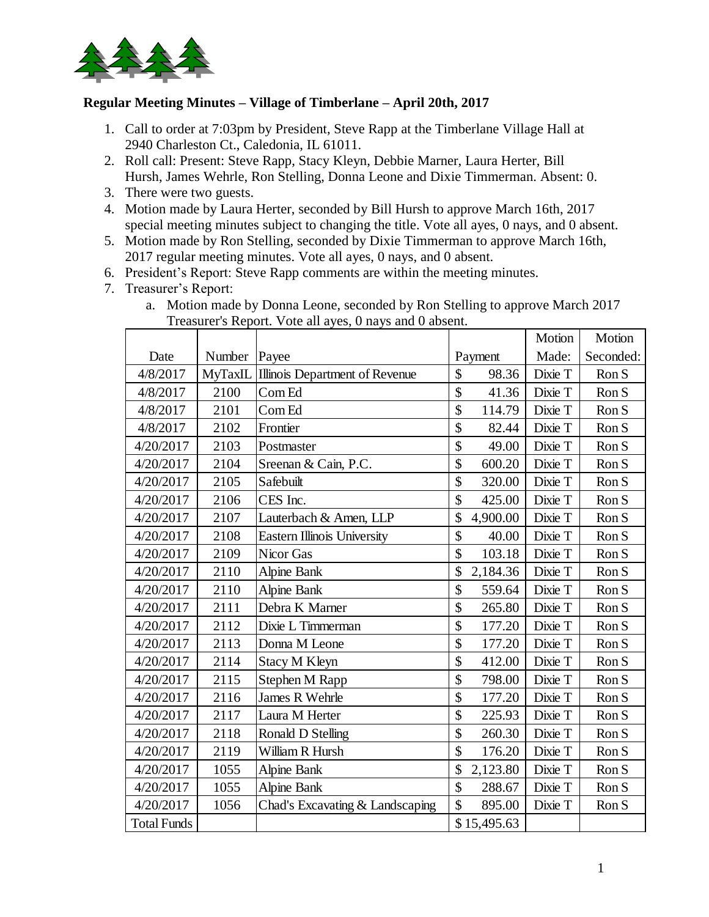

## **Regular Meeting Minutes – Village of Timberlane – April 20th, 2017**

- 1. Call to order at 7:03pm by President, Steve Rapp at the Timberlane Village Hall at 2940 Charleston Ct., Caledonia, IL 61011.
- 2. Roll call: Present: Steve Rapp, Stacy Kleyn, Debbie Marner, Laura Herter, Bill Hursh, James Wehrle, Ron Stelling, Donna Leone and Dixie Timmerman. Absent: 0.
- 3. There were two guests.
- 4. Motion made by Laura Herter, seconded by Bill Hursh to approve March 16th, 2017 special meeting minutes subject to changing the title. Vote all ayes, 0 nays, and 0 absent.
- 5. Motion made by Ron Stelling, seconded by Dixie Timmerman to approve March 16th, 2017 regular meeting minutes. Vote all ayes, 0 nays, and 0 absent.
- 6. President's Report: Steve Rapp comments are within the meeting minutes.
- 7. Treasurer's Report:
	- a. Motion made by Donna Leone, seconded by Ron Stelling to approve March 2017 Treasurer's Report. Vote all ayes, 0 nays and 0 absent.

|                    |         |                                    |                                      | Motion  | Motion    |
|--------------------|---------|------------------------------------|--------------------------------------|---------|-----------|
| Date               | Number  | Payee                              | Payment                              | Made:   | Seconded: |
| 4/8/2017           | MyTaxIL | Illinois Department of Revenue     | \$<br>98.36                          | Dixie T | Ron S     |
| 4/8/2017           | 2100    | Com Ed                             | $\mathcal{S}$<br>41.36               | Dixie T | Ron S     |
| 4/8/2017           | 2101    | Com Ed                             | \$<br>114.79                         | Dixie T | Ron S     |
| 4/8/2017           | 2102    | Frontier                           | $\boldsymbol{\mathsf{\$}}$<br>82.44  | Dixie T | Ron S     |
| 4/20/2017          | 2103    | Postmaster                         | $\mathbb{S}$<br>49.00                | Dixie T | Ron S     |
| 4/20/2017          | 2104    | Sreenan & Cain, P.C.               | \$<br>600.20                         | Dixie T | Ron S     |
| 4/20/2017          | 2105    | Safebuilt                          | $\boldsymbol{\mathsf{\$}}$<br>320.00 | Dixie T | Ron S     |
| 4/20/2017          | 2106    | CES Inc.                           | $\mathcal{S}$<br>425.00              | Dixie T | Ron S     |
| 4/20/2017          | 2107    | Lauterbach & Amen, LLP             | \$<br>4,900.00                       | Dixie T | Ron S     |
| 4/20/2017          | 2108    | <b>Eastern Illinois University</b> | $\mathcal{S}$<br>40.00               | Dixie T | Ron S     |
| 4/20/2017          | 2109    | <b>Nicor Gas</b>                   | $\mathbf{\hat{S}}$<br>103.18         | Dixie T | Ron S     |
| 4/20/2017          | 2110    | <b>Alpine Bank</b>                 | $\mathcal{S}$<br>2,184.36            | Dixie T | Ron S     |
| 4/20/2017          | 2110    | <b>Alpine Bank</b>                 | $\mathbb{S}$<br>559.64               | Dixie T | Ron S     |
| 4/20/2017          | 2111    | Debra K Marner                     | \$<br>265.80                         | Dixie T | Ron S     |
| 4/20/2017          | 2112    | Dixie L Timmerman                  | \$<br>177.20                         | Dixie T | Ron S     |
| 4/20/2017          | 2113    | Donna M Leone                      | $\hat{\mathcal{L}}$<br>177.20        | Dixie T | Ron S     |
| 4/20/2017          | 2114    | <b>Stacy M Kleyn</b>               | \$<br>412.00                         | Dixie T | Ron S     |
| 4/20/2017          | 2115    | Stephen M Rapp                     | \$<br>798.00                         | Dixie T | Ron S     |
| 4/20/2017          | 2116    | James R Wehrle                     | $\hat{\mathcal{S}}$<br>177.20        | Dixie T | Ron S     |
| 4/20/2017          | 2117    | Laura M Herter                     | \$<br>225.93                         | Dixie T | Ron S     |
| 4/20/2017          | 2118    | <b>Ronald D Stelling</b>           | \$<br>260.30                         | Dixie T | Ron S     |
| 4/20/2017          | 2119    | William R Hursh                    | $\hat{\mathcal{L}}$<br>176.20        | Dixie T | Ron S     |
| 4/20/2017          | 1055    | <b>Alpine Bank</b>                 | $\mathcal{S}$<br>2,123.80            | Dixie T | Ron S     |
| 4/20/2017          | 1055    | Alpine Bank                        | $\mathbb{S}$<br>288.67               | Dixie T | Ron S     |
| 4/20/2017          | 1056    | Chad's Excavating & Landscaping    | $\mathbb{S}$<br>895.00               | Dixie T | Ron S     |
| <b>Total Funds</b> |         |                                    | \$15,495.63                          |         |           |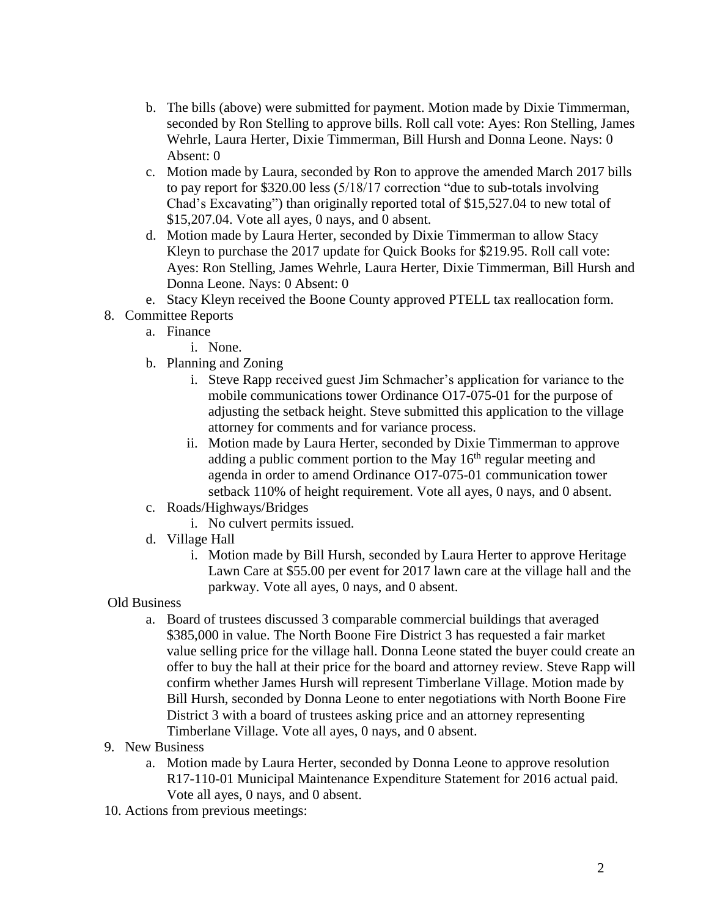- b. The bills (above) were submitted for payment. Motion made by Dixie Timmerman, seconded by Ron Stelling to approve bills. Roll call vote: Ayes: Ron Stelling, James Wehrle, Laura Herter, Dixie Timmerman, Bill Hursh and Donna Leone. Nays: 0 Absent: 0
- c. Motion made by Laura, seconded by Ron to approve the amended March 2017 bills to pay report for \$320.00 less (5/18/17 correction "due to sub-totals involving Chad's Excavating") than originally reported total of \$15,527.04 to new total of \$15,207.04. Vote all ayes, 0 nays, and 0 absent.
- d. Motion made by Laura Herter, seconded by Dixie Timmerman to allow Stacy Kleyn to purchase the 2017 update for Quick Books for \$219.95. Roll call vote: Ayes: Ron Stelling, James Wehrle, Laura Herter, Dixie Timmerman, Bill Hursh and Donna Leone. Nays: 0 Absent: 0
- e. Stacy Kleyn received the Boone County approved PTELL tax reallocation form.
- 8. Committee Reports
	- a. Finance
		- i. None.
	- b. Planning and Zoning
		- i. Steve Rapp received guest Jim Schmacher's application for variance to the mobile communications tower Ordinance O17-075-01 for the purpose of adjusting the setback height. Steve submitted this application to the village attorney for comments and for variance process.
		- ii. Motion made by Laura Herter, seconded by Dixie Timmerman to approve adding a public comment portion to the May  $16<sup>th</sup>$  regular meeting and agenda in order to amend Ordinance O17-075-01 communication tower setback 110% of height requirement. Vote all ayes, 0 nays, and 0 absent.
	- c. Roads/Highways/Bridges
		- i. No culvert permits issued.
	- d. Village Hall
		- i. Motion made by Bill Hursh, seconded by Laura Herter to approve Heritage Lawn Care at \$55.00 per event for 2017 lawn care at the village hall and the parkway. Vote all ayes, 0 nays, and 0 absent.

## Old Business

- a. Board of trustees discussed 3 comparable commercial buildings that averaged \$385,000 in value. The North Boone Fire District 3 has requested a fair market value selling price for the village hall. Donna Leone stated the buyer could create an offer to buy the hall at their price for the board and attorney review. Steve Rapp will confirm whether James Hursh will represent Timberlane Village. Motion made by Bill Hursh, seconded by Donna Leone to enter negotiations with North Boone Fire District 3 with a board of trustees asking price and an attorney representing Timberlane Village. Vote all ayes, 0 nays, and 0 absent.
- 9. New Business
	- a. Motion made by Laura Herter, seconded by Donna Leone to approve resolution R17-110-01 Municipal Maintenance Expenditure Statement for 2016 actual paid. Vote all ayes, 0 nays, and 0 absent.
- 10. Actions from previous meetings: